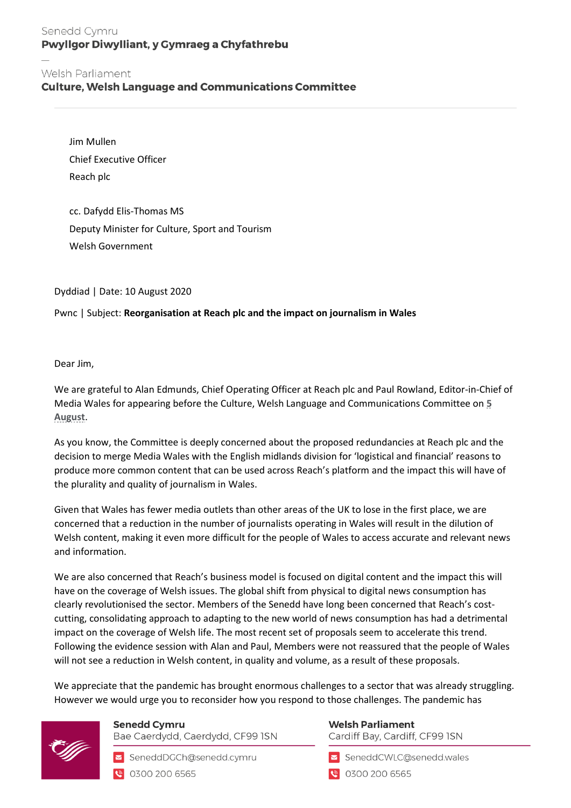## Senedd Cymru Pwyllgor Diwylliant, y Gymraeg a Chyfathrebu

**Culture, Welsh Language and Communications Committee** 

Jim Mullen Chief Executive Officer Reach plc

cc. Dafydd Elis-Thomas MS Deputy Minister for Culture, Sport and Tourism Welsh Government

Dyddiad | Date: 10 August 2020

### Pwnc | Subject: **Reorganisation at Reach plc and the impact on journalism in Wales**

Dear Jim,

We are grateful to Alan Edmunds, Chief Operating Officer at Reach plc and Paul Rowland, Editor-in-Chief of Media Wales for appearing before the Culture, Welsh Language and Communications Committee on **[5](https://cofnod.cynulliad.cymru/Committee/6427)  [August](https://cofnod.cynulliad.cymru/Committee/6427)**.

As you know, the Committee is deeply concerned about the proposed redundancies at Reach plc and the decision to merge Media Wales with the English midlands division for 'logistical and financial' reasons to produce more common content that can be used across Reach's platform and the impact this will have of the plurality and quality of journalism in Wales.

Given that Wales has fewer media outlets than other areas of the UK to lose in the first place, we are concerned that a reduction in the number of journalists operating in Wales will result in the dilution of Welsh content, making it even more difficult for the people of Wales to access accurate and relevant news and information.

We are also concerned that Reach's business model is focused on digital content and the impact this will have on the coverage of Welsh issues. The global shift from physical to digital news consumption has clearly revolutionised the sector. Members of the Senedd have long been concerned that Reach's costcutting, consolidating approach to adapting to the new world of news consumption has had a detrimental impact on the coverage of Welsh life. The most recent set of proposals seem to accelerate this trend. Following the evidence session with Alan and Paul, Members were not reassured that the people of Wales will not see a reduction in Welsh content, in quality and volume, as a result of these proposals.

We appreciate that the pandemic has brought enormous challenges to a sector that was already struggling. However we would urge you to reconsider how you respond to those challenges. The pandemic has



**Senedd Cymru** Bae Caerdydd, Caerdydd, CF99 ISN

SeneddDGCh@senedd.cymru ● 0300 200 6565

# **Welsh Parliament**

Cardiff Bay, Cardiff, CF99 ISN

SeneddCWLC@senedd.wales

0300 200 6565